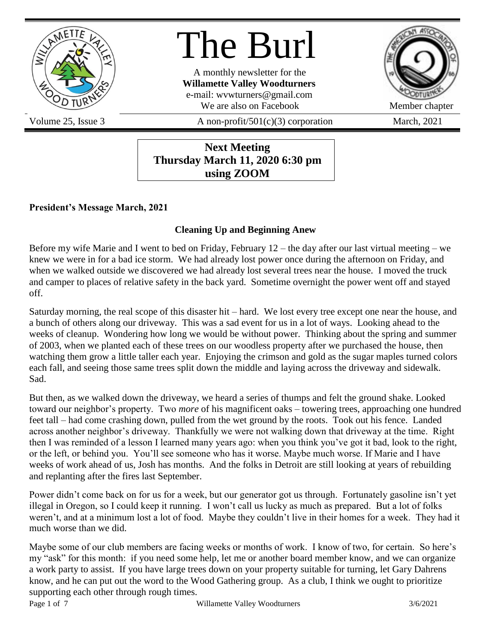

# The Burl

A monthly newsletter for the **Willamette Valley Woodturners** e-mail: wvwturners@gmail.com We are also on Facebook Member chapter



Volume 25, Issue 3  $A$  non-profit/501(c)(3) corporation March, 2021

#### **Next Meeting Thursday March 11, 2020 6:30 pm using ZOOM**

#### **President's Message March, 2021**

#### **Cleaning Up and Beginning Anew**

Before my wife Marie and I went to bed on Friday, February 12 – the day after our last virtual meeting – we knew we were in for a bad ice storm. We had already lost power once during the afternoon on Friday, and when we walked outside we discovered we had already lost several trees near the house. I moved the truck and camper to places of relative safety in the back yard. Sometime overnight the power went off and stayed off.

Saturday morning, the real scope of this disaster hit – hard. We lost every tree except one near the house, and a bunch of others along our driveway. This was a sad event for us in a lot of ways. Looking ahead to the weeks of cleanup. Wondering how long we would be without power. Thinking about the spring and summer of 2003, when we planted each of these trees on our woodless property after we purchased the house, then watching them grow a little taller each year. Enjoying the crimson and gold as the sugar maples turned colors each fall, and seeing those same trees split down the middle and laying across the driveway and sidewalk. Sad.

But then, as we walked down the driveway, we heard a series of thumps and felt the ground shake. Looked toward our neighbor's property. Two *more* of his magnificent oaks – towering trees, approaching one hundred feet tall – had come crashing down, pulled from the wet ground by the roots. Took out his fence. Landed across another neighbor's driveway. Thankfully we were not walking down that driveway at the time. Right then I was reminded of a lesson I learned many years ago: when you think you've got it bad, look to the right, or the left, or behind you. You'll see someone who has it worse. Maybe much worse. If Marie and I have weeks of work ahead of us, Josh has months. And the folks in Detroit are still looking at years of rebuilding and replanting after the fires last September.

Power didn't come back on for us for a week, but our generator got us through. Fortunately gasoline isn't yet illegal in Oregon, so I could keep it running. I won't call us lucky as much as prepared. But a lot of folks weren't, and at a minimum lost a lot of food. Maybe they couldn't live in their homes for a week. They had it much worse than we did.

Maybe some of our club members are facing weeks or months of work. I know of two, for certain. So here's my "ask" for this month: if you need some help, let me or another board member know, and we can organize a work party to assist. If you have large trees down on your property suitable for turning, let Gary Dahrens know, and he can put out the word to the Wood Gathering group. As a club, I think we ought to prioritize supporting each other through rough times.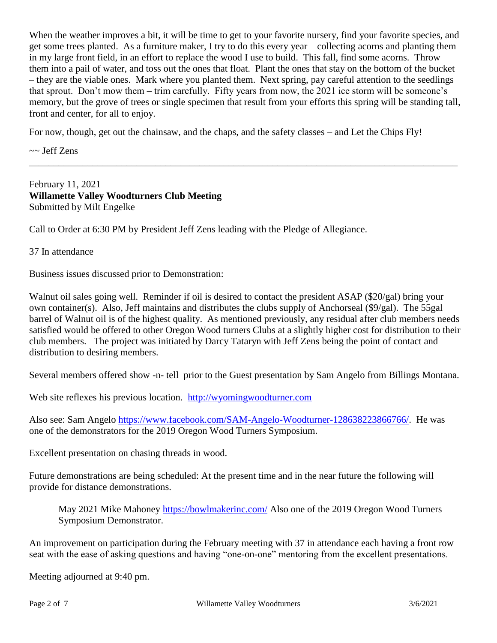When the weather improves a bit, it will be time to get to your favorite nursery, find your favorite species, and get some trees planted. As a furniture maker, I try to do this every year – collecting acorns and planting them in my large front field, in an effort to replace the wood I use to build. This fall, find some acorns. Throw them into a pail of water, and toss out the ones that float. Plant the ones that stay on the bottom of the bucket – they are the viable ones. Mark where you planted them. Next spring, pay careful attention to the seedlings that sprout. Don't mow them – trim carefully. Fifty years from now, the 2021 ice storm will be someone's memory, but the grove of trees or single specimen that result from your efforts this spring will be standing tall, front and center, for all to enjoy.

\_\_\_\_\_\_\_\_\_\_\_\_\_\_\_\_\_\_\_\_\_\_\_\_\_\_\_\_\_\_\_\_\_\_\_\_\_\_\_\_\_\_\_\_\_\_\_\_\_\_\_\_\_\_\_\_\_\_\_\_\_\_\_\_\_\_\_\_\_\_\_\_\_\_\_\_\_\_\_\_\_\_\_\_\_\_\_\_

For now, though, get out the chainsaw, and the chaps, and the safety classes – and Let the Chips Fly!

 $\sim$  Jeff Zens

February 11, 2021 **Willamette Valley Woodturners Club Meeting** Submitted by Milt Engelke

Call to Order at 6:30 PM by President Jeff Zens leading with the Pledge of Allegiance.

37 In attendance

Business issues discussed prior to Demonstration:

Walnut oil sales going well. Reminder if oil is desired to contact the president ASAP (\$20/gal) bring your own container(s). Also, Jeff maintains and distributes the clubs supply of Anchorseal (\$9/gal). The 55gal barrel of Walnut oil is of the highest quality. As mentioned previously, any residual after club members needs satisfied would be offered to other Oregon Wood turners Clubs at a slightly higher cost for distribution to their club members. The project was initiated by Darcy Tataryn with Jeff Zens being the point of contact and distribution to desiring members.

Several members offered show -n- tell prior to the Guest presentation by Sam Angelo from Billings Montana.

Web site reflexes his previous location. [http://wyomingwoodturner.com](http://wyomingwoodturner.com/)

Also see: Sam Angelo [https://www.facebook.com/SAM-Angelo-Woodturner-128638223866766/.](https://www.facebook.com/SAM-Angelo-Woodturner-128638223866766/) He was one of the demonstrators for the 2019 Oregon Wood Turners Symposium.

Excellent presentation on chasing threads in wood.

Future demonstrations are being scheduled: At the present time and in the near future the following will provide for distance demonstrations.

May 2021 Mike Mahoney<https://bowlmakerinc.com/> Also one of the 2019 Oregon Wood Turners Symposium Demonstrator.

An improvement on participation during the February meeting with 37 in attendance each having a front row seat with the ease of asking questions and having "one-on-one" mentoring from the excellent presentations.

Meeting adjourned at 9:40 pm.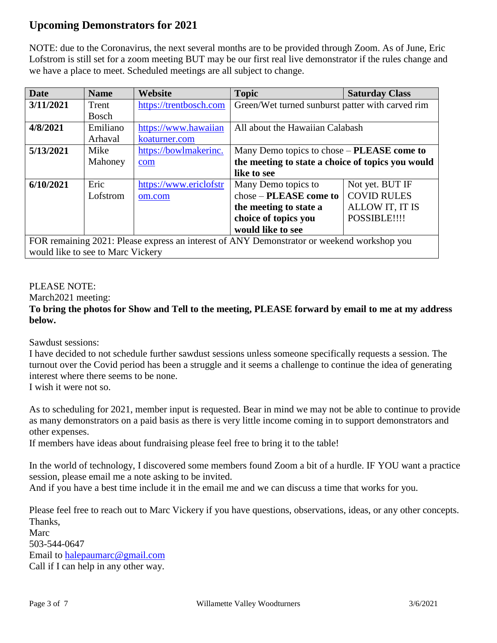#### **Upcoming Demonstrators for 2021**

NOTE: due to the Coronavirus, the next several months are to be provided through Zoom. As of June, Eric Lofstrom is still set for a zoom meeting BUT may be our first real live demonstrator if the rules change and we have a place to meet. Scheduled meetings are all subject to change.

| <b>Date</b>                                                                                | <b>Name</b>  | Website                | <b>Topic</b>                                      | <b>Saturday Class</b> |
|--------------------------------------------------------------------------------------------|--------------|------------------------|---------------------------------------------------|-----------------------|
| 3/11/2021                                                                                  | Trent        | https://trentbosch.com | Green/Wet turned sunburst patter with carved rim  |                       |
|                                                                                            | <b>Bosch</b> |                        |                                                   |                       |
| 4/8/2021                                                                                   | Emiliano     | https://www.hawaiian   | All about the Hawaiian Calabash                   |                       |
|                                                                                            | Arhaval      | koaturner.com          |                                                   |                       |
| 5/13/2021                                                                                  | Mike         | https://bowlmakerinc.  | Many Demo topics to chose – <b>PLEASE</b> come to |                       |
|                                                                                            | Mahoney      | com                    | the meeting to state a choice of topics you would |                       |
|                                                                                            |              |                        | like to see                                       |                       |
| 6/10/2021                                                                                  | Eric         | https://www.ericlofstr | Many Demo topics to                               | Not yet. BUT IF       |
|                                                                                            | Lofstrom     | om.com                 | chose – PLEASE come to                            | <b>COVID RULES</b>    |
|                                                                                            |              |                        | the meeting to state a                            | ALLOW IT, IT IS       |
|                                                                                            |              |                        | choice of topics you                              | POSSIBLE!!!!          |
|                                                                                            |              |                        | would like to see                                 |                       |
| FOR remaining 2021: Please express an interest of ANY Demonstrator or weekend workshop you |              |                        |                                                   |                       |
| would like to see to Marc Vickery                                                          |              |                        |                                                   |                       |

#### PLEASE NOTE:

March2021 meeting:

#### **To bring the photos for Show and Tell to the meeting, PLEASE forward by email to me at my address below.**

Sawdust sessions:

I have decided to not schedule further sawdust sessions unless someone specifically requests a session. The turnout over the Covid period has been a struggle and it seems a challenge to continue the idea of generating interest where there seems to be none.

I wish it were not so.

As to scheduling for 2021, member input is requested. Bear in mind we may not be able to continue to provide as many demonstrators on a paid basis as there is very little income coming in to support demonstrators and other expenses.

If members have ideas about fundraising please feel free to bring it to the table!

In the world of technology, I discovered some members found Zoom a bit of a hurdle. IF YOU want a practice session, please email me a note asking to be invited.

And if you have a best time include it in the email me and we can discuss a time that works for you.

Please feel free to reach out to Marc Vickery if you have questions, observations, ideas, or any other concepts. Thanks, Marc

503-544-0647 Email to [halepaumarc@gmail.com](mailto:halepaumarc@gmail.com) Call if I can help in any other way.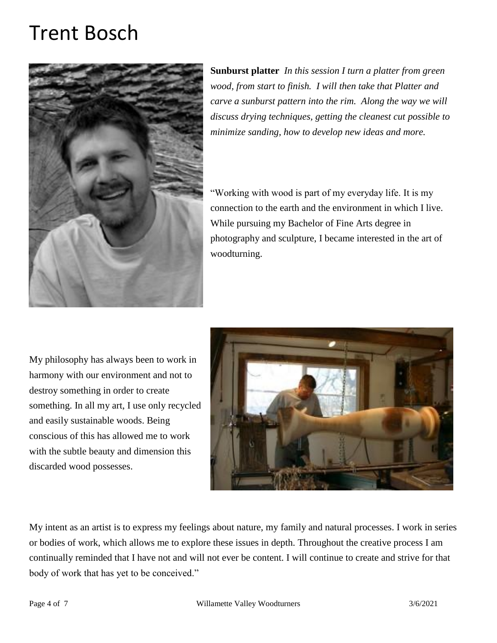## Trent Bosc[h](https://trentbosch.com/wp-content/uploads/2014/01/Trent-Bosch.jpg)



**Sunburst platter** *In this session I turn a platter from green wood, from start to finish. I will then take that Platter and carve a sunburst pattern into the rim. Along the way we will discuss drying techniques, getting the cleanest cut possible to minimize sanding, how to develop new ideas and more.*

"Working with wood is part of my everyday life. It is my connection to the earth and the environment in which I live. While pursuing my Bachelor of Fine Arts degree in photography and sculpture, I became interested in the art of woodturning.

My philosophy has always been to work in harmony with our environment and not to destroy something in order to create something. In all my art, I use only recycled and easily sustainable woods. Being conscious of this has allowed me to work with the subtle beauty and dimension this discarded wood possesses.



My intent as an artist is to express my feelings about nature, my family and natural processes. I work in series or bodies of work, which allows me to explore these issues in depth. Throughout the creative process I am continually reminded that I have not and will not ever be content. I will continue to create and strive for that body of work that has yet to be conceived."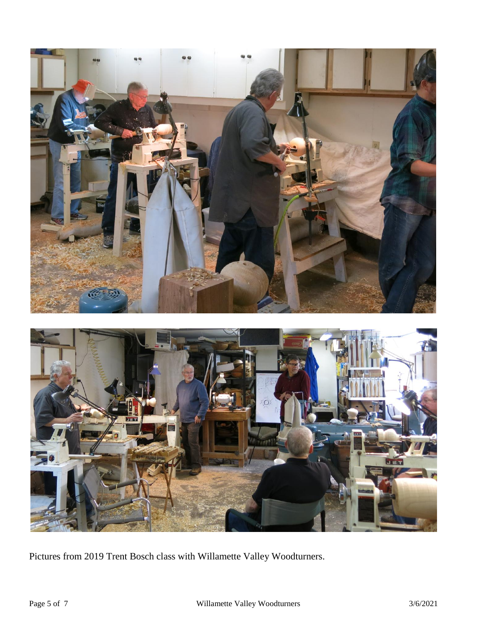

Pictures from 2019 Trent Bosch class with Willamette Valley Woodturners.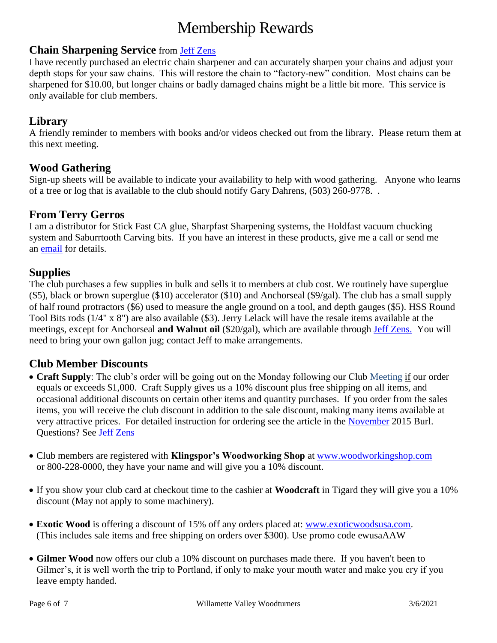## Membership Rewards

#### **Chain Sharpening Service** from [Jeff Zens](mailto:PrezWVW@gmail.com)

I have recently purchased an electric chain sharpener and can accurately sharpen your chains and adjust your depth stops for your saw chains. This will restore the chain to "factory-new" condition. Most chains can be sharpened for \$10.00, but longer chains or badly damaged chains might be a little bit more. This service is only available for club members.

#### **Library**

A friendly reminder to members with books and/or videos checked out from the library. Please return them at this next meeting.

#### **Wood Gathering**

Sign-up sheets will be available to indicate your availability to help with wood gathering. Anyone who learns of a tree or log that is available to the club should notify Gary Dahrens, (503) 260-9778. .

#### **From Terry Gerros**

I am a distributor for Stick Fast CA glue, Sharpfast Sharpening systems, the Holdfast vacuum chucking system and Saburrtooth Carving bits. If you have an interest in these products, give me a call or send me an [email](mailto:gerrost@yahoo.com) for details.

#### **Supplies**

The club purchases a few supplies in bulk and sells it to members at club cost. We routinely have superglue (\$5), black or brown superglue (\$10) accelerator (\$10) and Anchorseal (\$9/gal). The club has a small supply of half round protractors (\$6) used to measure the angle ground on a tool, and depth gauges (\$5). HSS Round Tool Bits rods (1/4" x 8") are also available (\$3). Jerry Lelack will have the resale items available at the meetings, except for Anchorseal **and Walnut oil** (\$20/gal), which are available through [Jeff Zens.](mailto:PrezWVW@gmail.com) You will need to bring your own gallon jug; contact Jeff to make arrangements.

#### **Club Member Discounts**

- **Craft Supply**: The club's order will be going out on the Monday following our Club Meeting if our order equals or exceeds \$1,000. Craft Supply gives us a 10% discount plus free shipping on all items, and occasional additional discounts on certain other items and quantity purchases. If you order from the sales items, you will receive the club discount in addition to the sale discount, making many items available at very attractive prices. For detailed instruction for ordering see the article in the [November](http://www.willamettevalleywoodturners.com/newsletters/2015_11_WVW_Newsletter.pdf) 2015 Burl. Questions? See [Jeff Zens](mailto:PrezWVW@gmail.com)
- Club members are registered with **Klingspor's Woodworking Shop** at [www.woodworkingshop.com](http://www.woodworkingshop.com/)  or 800-228-0000, they have your name and will give you a 10% discount.
- If you show your club card at checkout time to the cashier at **Woodcraft** in Tigard they will give you a 10% discount (May not apply to some machinery).
- **Exotic Wood** is offering a discount of 15% off any orders placed at: [www.exoticwoodsusa.com.](http://www.exoticwoodsusa.com/) (This includes sale items and free shipping on orders over \$300). Use promo code ewusaAAW
- **Gilmer Wood** now offers our club a 10% discount on purchases made there. If you haven't been to Gilmer's, it is well worth the trip to Portland, if only to make your mouth water and make you cry if you leave empty handed.